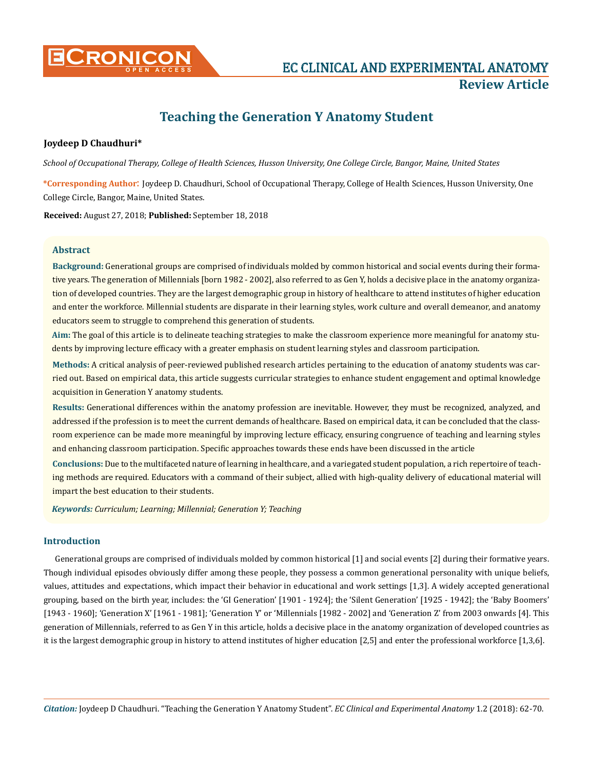

# **Teaching the Generation Y Anatomy Student**

# **Joydeep D Chaudhuri\***

*School of Occupational Therapy, College of Health Sciences, Husson University, One College Circle, Bangor, Maine, United States*

**\*Corresponding Author**: Joydeep D. Chaudhuri, School of Occupational Therapy, College of Health Sciences, Husson University, One College Circle, Bangor, Maine, United States.

**Received:** August 27, 2018; **Published:** September 18, 2018

# **Abstract**

**Background:** Generational groups are comprised of individuals molded by common historical and social events during their formative years. The generation of Millennials [born 1982 - 2002], also referred to as Gen Y, holds a decisive place in the anatomy organization of developed countries. They are the largest demographic group in history of healthcare to attend institutes of higher education and enter the workforce. Millennial students are disparate in their learning styles, work culture and overall demeanor, and anatomy educators seem to struggle to comprehend this generation of students.

**Aim:** The goal of this article is to delineate teaching strategies to make the classroom experience more meaningful for anatomy students by improving lecture efficacy with a greater emphasis on student learning styles and classroom participation.

**Methods:** A critical analysis of peer-reviewed published research articles pertaining to the education of anatomy students was carried out. Based on empirical data, this article suggests curricular strategies to enhance student engagement and optimal knowledge acquisition in Generation Y anatomy students.

**Results:** Generational differences within the anatomy profession are inevitable. However, they must be recognized, analyzed, and addressed if the profession is to meet the current demands of healthcare. Based on empirical data, it can be concluded that the classroom experience can be made more meaningful by improving lecture efficacy, ensuring congruence of teaching and learning styles and enhancing classroom participation. Specific approaches towards these ends have been discussed in the article

**Conclusions:** Due to the multifaceted nature of learning in healthcare, and a variegated student population, a rich repertoire of teaching methods are required. Educators with a command of their subject, allied with high-quality delivery of educational material will impart the best education to their students.

*Keywords: Curriculum; Learning; Millennial; Generation Y; Teaching*

# **Introduction**

Generational groups are comprised of individuals molded by common historical [1] and social events [2] during their formative years. Though individual episodes obviously differ among these people, they possess a common generational personality with unique beliefs, values, attitudes and expectations, which impact their behavior in educational and work settings [1,3]. A widely accepted generational grouping, based on the birth year, includes: the 'GI Generation' [1901 - 1924]; the 'Silent Generation' [1925 - 1942]; the 'Baby Boomers' [1943 - 1960]; 'Generation X' [1961 - 1981]; 'Generation Y' or 'Millennials [1982 - 2002] and 'Generation Z' from 2003 onwards [4]. This generation of Millennials, referred to as Gen Y in this article, holds a decisive place in the anatomy organization of developed countries as it is the largest demographic group in history to attend institutes of higher education [2,5] and enter the professional workforce [1,3,6].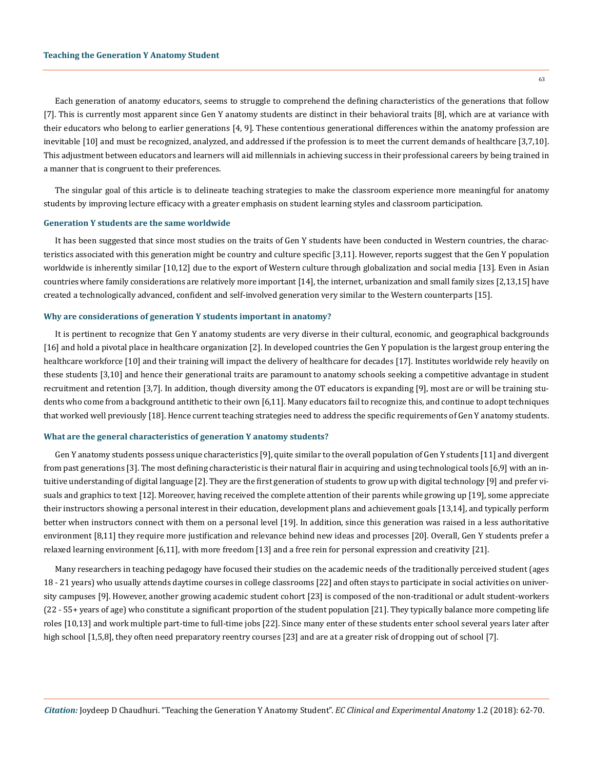Each generation of anatomy educators, seems to struggle to comprehend the defining characteristics of the generations that follow [7]. This is currently most apparent since Gen Y anatomy students are distinct in their behavioral traits [8], which are at variance with their educators who belong to earlier generations [4, 9]. These contentious generational differences within the anatomy profession are inevitable [10] and must be recognized, analyzed, and addressed if the profession is to meet the current demands of healthcare [3,7,10]. This adjustment between educators and learners will aid millennials in achieving success in their professional careers by being trained in a manner that is congruent to their preferences.

The singular goal of this article is to delineate teaching strategies to make the classroom experience more meaningful for anatomy students by improving lecture efficacy with a greater emphasis on student learning styles and classroom participation.

## **Generation Y students are the same worldwide**

It has been suggested that since most studies on the traits of Gen Y students have been conducted in Western countries, the characteristics associated with this generation might be country and culture specific [3,11]. However, reports suggest that the Gen Y population worldwide is inherently similar [10,12] due to the export of Western culture through globalization and social media [13]. Even in Asian countries where family considerations are relatively more important [14], the internet, urbanization and small family sizes [2,13,15] have created a technologically advanced, confident and self-involved generation very similar to the Western counterparts [15].

## **Why are considerations of generation Y students important in anatomy?**

It is pertinent to recognize that Gen Y anatomy students are very diverse in their cultural, economic, and geographical backgrounds [16] and hold a pivotal place in healthcare organization [2]. In developed countries the Gen Y population is the largest group entering the healthcare workforce [10] and their training will impact the delivery of healthcare for decades [17]. Institutes worldwide rely heavily on these students [3,10] and hence their generational traits are paramount to anatomy schools seeking a competitive advantage in student recruitment and retention [3,7]. In addition, though diversity among the OT educators is expanding [9], most are or will be training students who come from a background antithetic to their own [6,11]. Many educators fail to recognize this, and continue to adopt techniques that worked well previously [18]. Hence current teaching strategies need to address the specific requirements of Gen Y anatomy students.

#### **What are the general characteristics of generation Y anatomy students?**

Gen Y anatomy students possess unique characteristics [9], quite similar to the overall population of Gen Y students [11] and divergent from past generations [3]. The most defining characteristic is their natural flair in acquiring and using technological tools [6,9] with an intuitive understanding of digital language [2]. They are the first generation of students to grow up with digital technology [9] and prefer visuals and graphics to text [12]. Moreover, having received the complete attention of their parents while growing up [19], some appreciate their instructors showing a personal interest in their education, development plans and achievement goals [13,14], and typically perform better when instructors connect with them on a personal level [19]. In addition, since this generation was raised in a less authoritative environment [8,11] they require more justification and relevance behind new ideas and processes [20]. Overall, Gen Y students prefer a relaxed learning environment [6,11], with more freedom [13] and a free rein for personal expression and creativity [21].

Many researchers in teaching pedagogy have focused their studies on the academic needs of the traditionally perceived student (ages 18 - 21 years) who usually attends daytime courses in college classrooms [22] and often stays to participate in social activities on university campuses [9]. However, another growing academic student cohort [23] is composed of the non-traditional or adult student-workers (22 - 55+ years of age) who constitute a significant proportion of the student population [21]. They typically balance more competing life roles [10,13] and work multiple part-time to full-time jobs [22]. Since many enter of these students enter school several years later after high school [1,5,8], they often need preparatory reentry courses [23] and are at a greater risk of dropping out of school [7].

63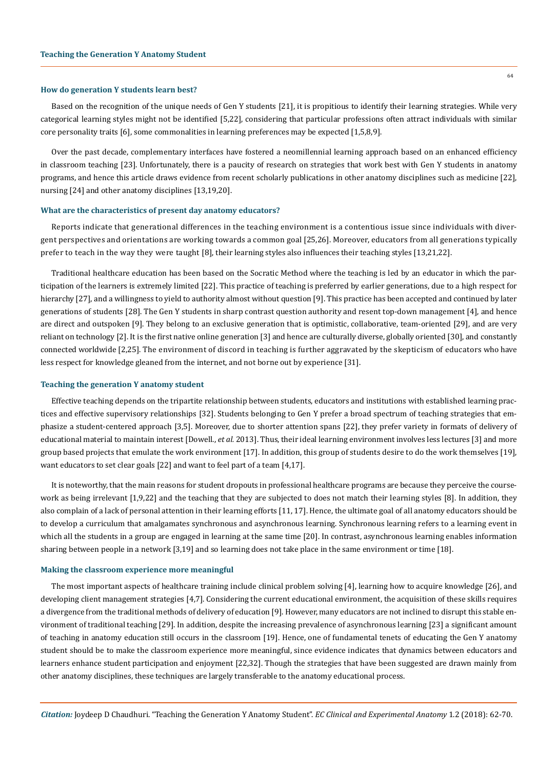## **How do generation Y students learn best?**

Based on the recognition of the unique needs of Gen Y students [21], it is propitious to identify their learning strategies. While very categorical learning styles might not be identified [5,22], considering that particular professions often attract individuals with similar core personality traits [6], some commonalities in learning preferences may be expected [1,5,8,9].

Over the past decade, complementary interfaces have fostered a neomillennial learning approach based on an enhanced efficiency in classroom teaching [23]. Unfortunately, there is a paucity of research on strategies that work best with Gen Y students in anatomy programs, and hence this article draws evidence from recent scholarly publications in other anatomy disciplines such as medicine [22], nursing [24] and other anatomy disciplines [13,19,20].

## **What are the characteristics of present day anatomy educators?**

Reports indicate that generational differences in the teaching environment is a contentious issue since individuals with divergent perspectives and orientations are working towards a common goal [25,26]. Moreover, educators from all generations typically prefer to teach in the way they were taught [8], their learning styles also influences their teaching styles [13,21,22].

Traditional healthcare education has been based on the Socratic Method where the teaching is led by an educator in which the participation of the learners is extremely limited [22]. This practice of teaching is preferred by earlier generations, due to a high respect for hierarchy [27], and a willingness to yield to authority almost without question [9]. This practice has been accepted and continued by later generations of students [28]. The Gen Y students in sharp contrast question authority and resent top-down management [4], and hence are direct and outspoken [9]. They belong to an exclusive generation that is optimistic, collaborative, team-oriented [29], and are very reliant on technology [2]. It is the first native online generation [3] and hence are culturally diverse, globally oriented [30], and constantly connected worldwide [2,25]. The environment of discord in teaching is further aggravated by the skepticism of educators who have less respect for knowledge gleaned from the internet, and not borne out by experience [31].

### **Teaching the generation Y anatomy student**

Effective teaching depends on the tripartite relationship between students, educators and institutions with established learning practices and effective supervisory relationships [32]. Students belonging to Gen Y prefer a broad spectrum of teaching strategies that emphasize a student-centered approach [3,5]. Moreover, due to shorter attention spans [22], they prefer variety in formats of delivery of educational material to maintain interest [Dowell., *et al.* 2013]. Thus, their ideal learning environment involves less lectures [3] and more g[roup](https://www.efrontlearning.com/blog/2016/11/group-learning-boost-workplace-productivity.html) based projects that emulate the work environment [17]. In addition, this group of students desire to do the work themselves [19], want educators to set clear goals [22] and want to feel part of a team [4,17].

It is noteworthy, that the main reasons for student dropouts in professional healthcare programs are because they perceive the coursework as being irrelevant [1,9,22] and the teaching that they are subjected to does not match their learning styles [8]. In addition, they also complain of a lack of personal attention in their learning efforts [11, 17]. Hence, the ultimate goal of all anatomy educators should be to develop a curriculum that amalgamates synchronous and asynchronous learning. Synchronous learning refers to a learning event in which all the students in a group are engaged in learning at the same time [20]. In contrast, asynchronous learning enables information sharing between people in a network [3,19] and so learning does not take place in the same environment or time [18].

## **Making the classroom experience more meaningful**

The most important aspects of healthcare training include clinical problem solving [4], learning how to acquire knowledge [26], and developing client management strategies [4,7]. Considering the current educational environment, the acquisition of these skills requires a divergence from the traditional methods of delivery of education [9]. However, many educators are not inclined to disrupt this stable environment of traditional teaching [29]. In addition, despite the increasing prevalence of asynchronous learning [23] a significant amount of teaching in anatomy education still occurs in the classroom [19]. Hence, one of fundamental tenets of educating the Gen Y anatomy student should be to make the classroom experience more meaningful, since evidence indicates that dynamics between educators and learners enhance student participation and enjoyment [22,32]. Though the strategies that have been suggested are drawn mainly from other anatomy disciplines, these techniques are largely transferable to the anatomy educational process.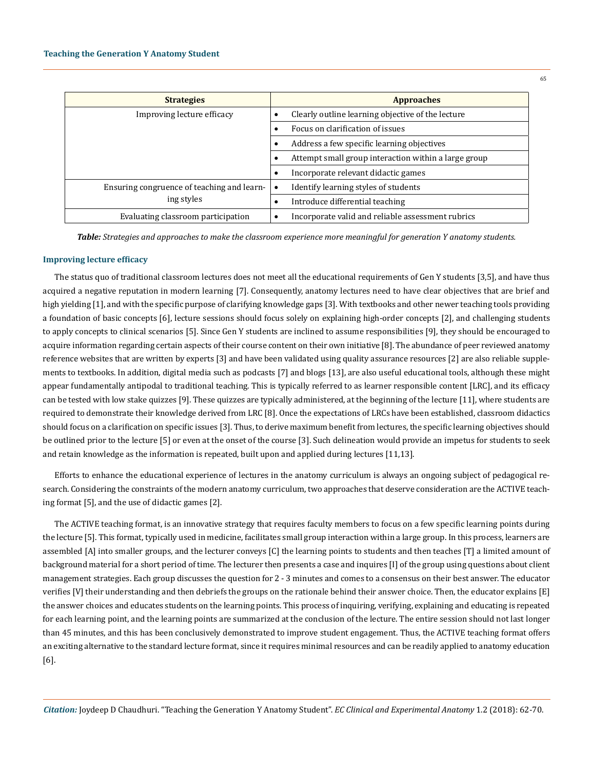| <b>Strategies</b>                                        | <b>Approaches</b>                                    |
|----------------------------------------------------------|------------------------------------------------------|
| Improving lecture efficacy                               | Clearly outline learning objective of the lecture    |
|                                                          | Focus on clarification of issues                     |
|                                                          | Address a few specific learning objectives           |
|                                                          | Attempt small group interaction within a large group |
|                                                          | Incorporate relevant didactic games                  |
| Ensuring congruence of teaching and learn-<br>ing styles | Identify learning styles of students                 |
|                                                          | Introduce differential teaching                      |
| Evaluating classroom participation                       | Incorporate valid and reliable assessment rubrics    |

*Table: Strategies and approaches to make the classroom experience more meaningful for generation Y anatomy students.*

## **Improving lecture efficacy**

The status quo of traditional classroom lectures does not meet all the educational requirements of Gen Y students [3,5], and have thus acquired a negative reputation in modern learning [7]. Consequently, anatomy lectures need to have clear objectives that are brief and high yielding [1], and with the specific purpose of clarifying knowledge gaps [3]. With textbooks and other newer teaching tools providing a foundation of basic concepts [6], lecture sessions should focus solely on explaining high-order concepts [2], and challenging students to apply concepts to clinical scenarios [5]. Since Gen Y students are inclined to assume responsibilities [9], they should be encouraged to acquire information regarding certain aspects of their course content on their own initiative [8]. The abundance of peer reviewed anatomy reference websites that are written by experts [3] and have been validated using quality assurance resources [2] are also reliable supplements to textbooks. In addition, digital media such as podcasts [7] and blogs [13], are also useful educational tools, although these might appear fundamentally antipodal to traditional teaching. This is typically referred to as learner responsible content [LRC], and its efficacy can be tested with low stake quizzes [9]. These quizzes are typically administered, at the beginning of the lecture [11], where students are required to demonstrate their knowledge derived from LRC [8]. Once the expectations of LRCs have been established, classroom didactics should focus on a clarification on specific issues [3]. Thus, to derive maximum benefit from lectures, the specific learning objectives should be outlined prior to the lecture [5] or even at the onset of the course [3]. Such delineation would provide an impetus for students to seek and retain knowledge as the information is repeated, built upon and applied during lectures [11,13].

Efforts to enhance the educational experience of lectures in the anatomy curriculum is always an ongoing subject of pedagogical research. Considering the constraints of the modern anatomy curriculum, two approaches that deserve consideration are the ACTIVE teaching format [5], and the use of didactic games [2].

The ACTIVE teaching format, is an innovative strategy that requires faculty members to focus on a few specific learning points during the lecture [5]. This format, typically used in medicine, facilitates small group interaction within a large group. In this process, learners are assembled [A] into smaller groups, and the lecturer conveys [C] the learning points to students and then teaches [T] a limited amount of background material for a short period of time. The lecturer then presents a case and inquires [I] of the group using questions about client management strategies. Each group discusses the question for 2 - 3 minutes and comes to a consensus on their best answer. The educator verifies [V] their understanding and then debriefs the groups on the rationale behind their answer choice. Then, the educator explains [E] the answer choices and educates students on the learning points. This process of inquiring, verifying, explaining and educating is repeated for each learning point, and the learning points are summarized at the conclusion of the lecture. The entire session should not last longer than 45 minutes, and this has been conclusively demonstrated to improve student engagement. Thus, the ACTIVE teaching format offers an exciting alternative to the standard lecture format, since it requires minimal resources and can be readily applied to anatomy education [6].

*Citation:* Joydeep D Chaudhuri. "Teaching the Generation Y Anatomy Student". *EC Clinical and Experimental Anatomy* 1.2 (2018): 62-70.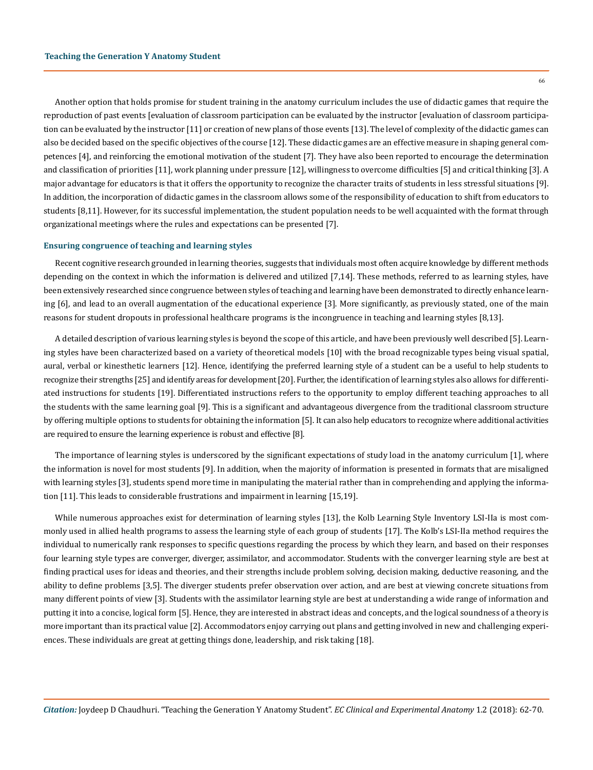66

Another option that holds promise for student training in the anatomy curriculum includes the use of didactic games that require the reproduction of past events [evaluation of classroom participation can be evaluated by the instructor [evaluation of classroom participation can be evaluated by the instructor [11] or creation of new plans of those events [13]. The level of complexity of the didactic games can also be decided based on the specific objectives of the course [12]. These didactic games are an effective measure in shaping general competences [4], and reinforcing the emotional motivation of the student [7]. They have also been reported to encourage the determination and classification of priorities [11], work planning under pressure [12], willingness to overcome difficulties [5] and critical thinking [3]. A major advantage for educators is that it offers the opportunity to recognize the character traits of students in less stressful situations [9]. In addition, the incorporation of didactic games in the classroom allows some of the responsibility of education to shift from educators to students [8,11]. However, for its successful implementation, the student population needs to be well acquainted with the format through organizational meetings where the rules and expectations can be presented [7].

## **Ensuring congruence of teaching and learning styles**

Recent cognitive research grounded in learning theories, suggests that individuals most often acquire knowledge by different methods depending on the context in which the information is delivered and utilized [7,14]. These methods, referred to as learning styles, have been extensively researched since congruence between styles of teaching and learning have been demonstrated to directly enhance learning [6], and lead to an overall augmentation of the educational experience [3]. More significantly, as previously stated, one of the main reasons for student dropouts in professional healthcare programs is the incongruence in teaching and learning styles [8,13].

A detailed description of various learning styles is beyond the scope of this article, and have been previously well described [5]. Learning styles have been characterized based on a variety of theoretical models [10] with the broad recognizable types being visual spatial, aural, verbal or kinesthetic learners [12]. Hence, identifying the preferred learning style of a student can be a useful to help students to recognize their strengths [25] and identify areas for development [20]. Further, the identification of learning styles also allows for differentiated instructions for students [19]. Differentiated instructions refers to the opportunity to employ different teaching approaches to all the students with the same learning goal [9]. This is a significant and advantageous divergence from the traditional classroom structure by offering multiple options to students for obtaining the information [5]. It can also help educators to recognize where additional activities are required to ensure the learning experience is robust and effective [8].

The importance of learning styles is underscored by the significant expectations of study load in the anatomy curriculum [1], where the information is novel for most students [9]. In addition, when the majority of information is presented in formats that are misaligned with learning styles [3], students spend more time in manipulating the material rather than in comprehending and applying the information [11]. This leads to considerable frustrations and impairment in learning [15,19].

While numerous approaches exist for determination of learning styles [13], the Kolb Learning Style Inventory LSI-IIa is most commonly used in allied health programs to assess the learning style of each group of students [17]. The Kolb's LSI-IIa method requires the individual to numerically rank responses to specific questions regarding the process by which they learn, and based on their responses four learning style types are converger, diverger, assimilator, and accommodator. Students with the converger learning style are best at finding practical uses for ideas and theories, and their strengths include problem solving, decision making, deductive reasoning, and the ability to define problems [3,5]. The diverger students prefer observation over action, and are best at viewing concrete situations from many different points of view [3]. Students with the assimilator learning style are best at understanding a wide range of information and putting it into a concise, logical form [5]. Hence, they are interested in abstract ideas and concepts, and the logical soundness of a theory is more important than its practical value [2]. Accommodators enjoy carrying out plans and getting involved in new and challenging experiences. These individuals are great at getting things done, leadership, and risk taking [18].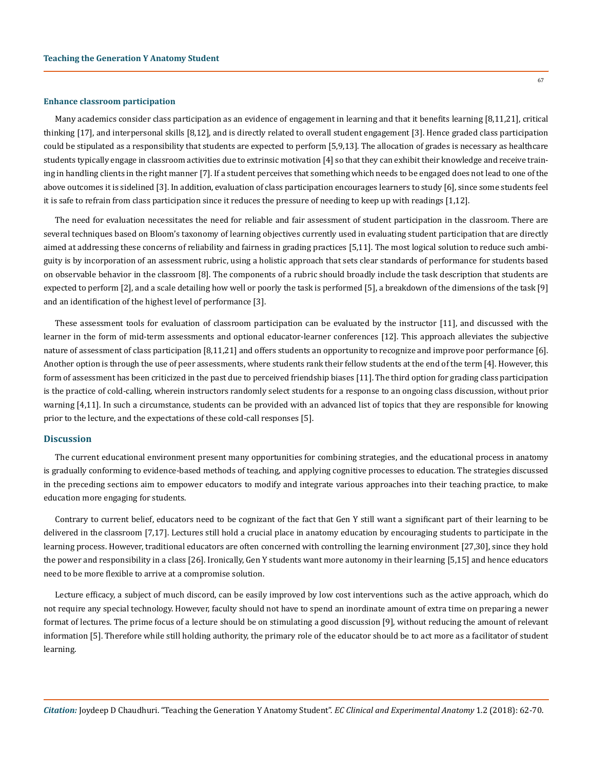#### **Enhance classroom participation**

Many academics consider class participation as an evidence of engagement in learning and that it benefits learning [8,11,21], critical thinking [17], and interpersonal skills [8,12], and is directly related to overall student engagement [3]. Hence graded class participation could be stipulated as a responsibility that students are expected to perform [5,9,13]. The allocation of grades is necessary as healthcare students typically engage in classroom activities due to extrinsic motivation [4] so that they can exhibit their knowledge and receive training in handling clients in the right manner [7]. If a student perceives that something which needs to be engaged does not lead to one of the above outcomes it is sidelined [3]. In addition, evaluation of class participation encourages learners to study [6], since some students feel it is safe to refrain from class participation since it reduces the pressure of needing to keep up with readings [1,12].

The need for evaluation necessitates the need for reliable and fair assessment of student participation in the classroom. There are several techniques based on Bloom's taxonomy of learning objectives currently used in evaluating student participation that are directly aimed at addressing these concerns of reliability and fairness in grading practices [5,11]. The most logical solution to reduce such ambiguity is by incorporation of an assessment rubric, using a holistic approach that sets clear standards of performance for students based on observable behavior in the classroom [8]. The components of a rubric should broadly include the task description that students are expected to perform [2], and a scale detailing how well or poorly the task is performed [5], a breakdown of the dimensions of the task [9] and an identification of the highest level of performance [3].

These assessment tools for evaluation of classroom participation can be evaluated by the instructor [11], and discussed with the learner in the form of mid-term assessments and optional educator-learner conferences [12]. This approach alleviates the subjective nature of assessment of class participation [8,11,21] and offers students an opportunity to recognize and improve poor performance [6]. Another option is through the use of peer assessments, where students rank their fellow students at the end of the term [4]. However, this form of assessment has been criticized in the past due to perceived friendship biases [11]. The third option for grading class participation is the practice of cold-calling, wherein instructors randomly select students for a response to an ongoing class discussion, without prior warning [4,11]. In such a circumstance, students can be provided with an advanced list of topics that they are responsible for knowing prior to the lecture, and the expectations of these cold-call responses [5].

# **Discussion**

The current educational environment present many opportunities for combining strategies, and the educational process in anatomy is gradually conforming to evidence-based methods of teaching, and applying cognitive processes to education. The strategies discussed in the preceding sections aim to empower educators to modify and integrate various approaches into their teaching practice, to make education more engaging for students.

Contrary to current belief, educators need to be cognizant of the fact that Gen Y still want a significant part of their learning to be delivered in the classroom [7,17]. Lectures still hold a crucial place in anatomy education by encouraging students to participate in the learning process. However, traditional educators are often concerned with controlling the learning environment [27,30], since they hold the power and responsibility in a class [26]. Ironically, Gen Y students want more autonomy in their learning [5,15] and hence educators need to be more flexible to arrive at a compromise solution.

Lecture efficacy, a subject of much discord, can be easily improved by low cost interventions such as the active approach, which do not require any special technology. However, faculty should not have to spend an inordinate amount of extra time on preparing a newer format of lectures. The prime focus of a lecture should be on stimulating a good discussion [9], without reducing the amount of relevant information [5]. Therefore while still holding authority, the primary role of the educator should be to act more as a facilitator of student learning.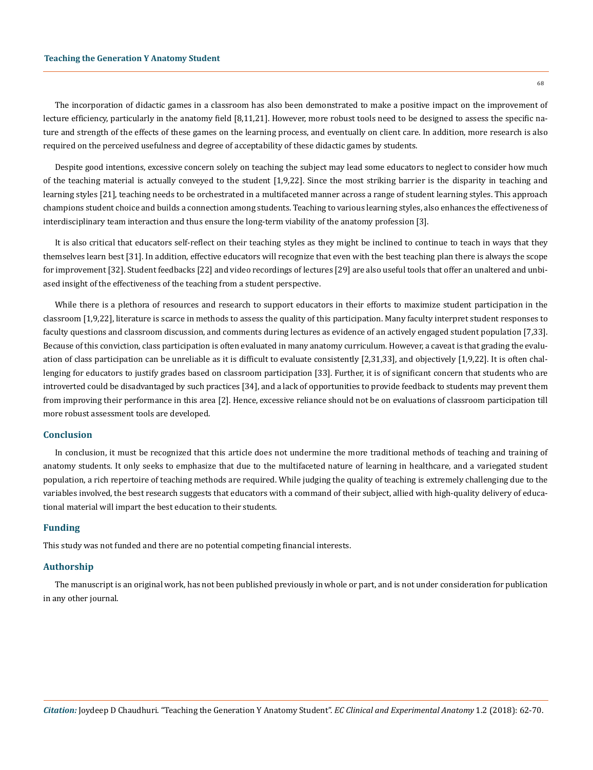68

The incorporation of didactic games in a classroom has also been demonstrated to make a positive impact on the improvement of lecture efficiency, particularly in the anatomy field [8,11,21]. However, more robust tools need to be designed to assess the specific nature and strength of the effects of these games on the learning process, and eventually on client care. In addition, more research is also required on the perceived usefulness and degree of acceptability of these didactic games by students.

Despite good intentions, excessive concern solely on teaching the subject may lead some educators to neglect to consider how much of the teaching material is actually conveyed to the student [1,9,22]. Since the most striking barrier is the disparity in teaching and learning styles [21], teaching needs to be orchestrated in a multifaceted manner across a range of student learning styles. This approach champions student choice and builds a connection among students. Teaching to various learning styles, also enhances the effectiveness of interdisciplinary team interaction and thus ensure the long-term viability of the anatomy profession [3].

It is also critical that educators self-reflect on their teaching styles as they might be inclined to continue to teach in ways that they themselves learn best [31]. In addition, effective educators will recognize that even with the best teaching plan there is always the scope for improvement [32]. Student feedbacks [22] and video recordings of lectures [29] are also useful tools that offer an unaltered and unbiased insight of the effectiveness of the teaching from a student perspective.

While there is a plethora of resources and research to support educators in their efforts to maximize student participation in the classroom [1,9,22], literature is scarce in methods to assess the quality of this participation. Many faculty interpret student responses to faculty questions and classroom discussion, and comments during lectures as evidence of an actively engaged student population [7,33]. Because of this conviction, class participation is often evaluated in many anatomy curriculum. However, a caveat is that grading the evaluation of class participation can be unreliable as it is difficult to evaluate consistently [2,31,33], and objectively [1,9,22]. It is often challenging for educators to justify grades based on classroom participation [33]. Further, it is of significant concern that students who are introverted could be disadvantaged by such practices [34], and a lack of opportunities to provide feedback to students may prevent them from improving their performance in this area [2]. Hence, excessive reliance should not be on evaluations of classroom participation till more robust assessment tools are developed.

## **Conclusion**

In conclusion, it must be recognized that this article does not undermine the more traditional methods of teaching and training of anatomy students. It only seeks to emphasize that due to the multifaceted nature of learning in healthcare, and a variegated student population, a rich repertoire of teaching methods are required. While judging the quality of teaching is extremely challenging due to the variables involved, the best research suggests that educators with a command of their subject, allied with high-quality delivery of educational material will impart the best education to their students.

## **Funding**

This study was not funded and there are no potential competing financial interests.

## **Authorship**

The manuscript is an original work, has not been published previously in whole or part, and is not under consideration for publication in any other journal.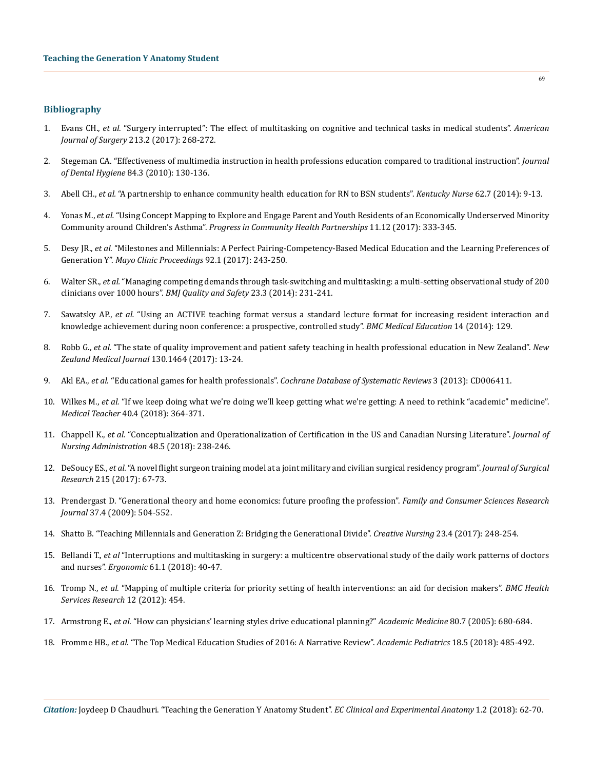# **Bibliography**

- 1. Evans CH., *et al.* ["Surgery interrupted": The effect of multitasking on cognitive and technical tasks in medical students".](https://www.ncbi.nlm.nih.gov/pubmed/27839688) *American Journal of Surgery* [213.2 \(2017\): 268-272.](https://www.ncbi.nlm.nih.gov/pubmed/27839688)
- 2. [Stegeman CA. "Effectiveness of multimedia instruction in health professions education compared to traditional instruction".](http://www.ncbi.nlm.nih.gov/pubmed/20579425) *Journal of Dental Hygiene* [84.3 \(2010\): 130-136.](http://www.ncbi.nlm.nih.gov/pubmed/20579425)
- 3. Abell CH., *et al.* ["A partnership to enhance community health education for RN to BSN students".](http://www.ncbi.nlm.nih.gov/pubmed/25362757) *Kentucky Nurse* 62.7 (2014): 9-13.
- 4. Yonas M., *et al.* ["Using Concept Mapping to Explore and Engage Parent and Youth Residents of an Economically Underserved Minority](http://www.ncbi.nlm.nih.gov/pubmed/29332847)  Community around Children's Asthma". *[Progress in Community Health Partnerships](http://www.ncbi.nlm.nih.gov/pubmed/29332847)* 11.12 (2017): 333-345.
- 5. Desy JR., *et al.* ["Milestones and Millennials: A Perfect Pairing-Competency-Based Medical Education and the Learning Preferences of](https://www.ncbi.nlm.nih.gov/pubmed/28160874)  Generation Y". *[Mayo Clinic Proceedings](https://www.ncbi.nlm.nih.gov/pubmed/28160874)* 92.1 (2017): 243-250.
- 6. Walter SR., *et al.* ["Managing competing demands through task-switching and multitasking: a multi-setting observational study of 200](http://www.ncbi.nlm.nih.gov/pubmed/24135815) [clinicians over 1000 hours".](http://www.ncbi.nlm.nih.gov/pubmed/24135815) *BMJ Quality and Safety* 23.3 (2014): 231-241.
- 7. Sawatsky AP., *et al.* ["Using an ACTIVE teaching format versus a standard lecture format for increasing resident interaction and](http://www.ncbi.nlm.nih.gov/pubmed/24985781)  [knowledge achievement during noon conference: a prospective, controlled study".](http://www.ncbi.nlm.nih.gov/pubmed/24985781) *BMC Medical Education* 14 (2014): 129.
- 8. Robb G., *et al.* ["The state of quality improvement and patient safety teaching in health professional education in New Zealand".](http://www.ncbi.nlm.nih.gov/pubmed/29073653) *New [Zealand Medical Journal](http://www.ncbi.nlm.nih.gov/pubmed/29073653)* 130.1464 (2017): 13-24.
- 9. Akl EA., *et al*[. ''Educational games for health professionals".](http://www.ncbi.nlm.nih.gov/pubmed/23543543) *Cochrane Database of Systematic Reviews* 3 (2013): CD006411.
- 10. Wilkes M., *et al.* ["If we keep doing what we're doing we'll keep getting what we're getting: A need to rethink "academic" medicine".](http://www.ncbi.nlm.nih.gov/pubmed/29320901)  *Medical Teacher* [40.4 \(2018\): 364-371.](http://www.ncbi.nlm.nih.gov/pubmed/29320901)
- 11. Chappell K., *et al.* ["Conceptualization and Operationalization of Certification in the US and Canadian Nursing Literature".](https://www.ncbi.nlm.nih.gov/pubmed/29629910) *Journal of [Nursing Administration](https://www.ncbi.nlm.nih.gov/pubmed/29629910)* 48.5 (2018): 238-246.
- 12. DeSoucy ES., *et al.* ["A novel flight surgeon training model at a joint military and civilian surgical residency program".](http://www.ncbi.nlm.nih.gov/pubmed/28688664) *Journal of Surgical Research* [215 \(2017\): 67-73.](http://www.ncbi.nlm.nih.gov/pubmed/28688664)
- 13. [Prendergast D. "Generational theory and home economics: future proofing the profession".](https://onlinelibrary.wiley.com/doi/abs/10.1177/1077727X09333186) *Family and Consumer Sciences Research Journal* [37.4 \(2009\): 504-552.](https://onlinelibrary.wiley.com/doi/abs/10.1177/1077727X09333186)
- 14. [Shatto B. "Teaching Millennials and Generation Z: Bridging the Generational Divide".](http://www.ncbi.nlm.nih.gov/pubmed/29141734) *Creative Nursing* 23.4 (2017): 248-254.
- 15. Bellandi T., *et al* ["Interruptions and multitasking in surgery: a multicentre observational study of the daily work patterns of doctors](https://www.ncbi.nlm.nih.gov/pubmed/28697685)  and nurses". *Ergonomic* 61.1 [\(2018\): 40-47.](https://www.ncbi.nlm.nih.gov/pubmed/28697685)
- 16. Tromp N., *et al.* ["Mapping of multiple criteria for priority setting of health interventions: an aid for decision makers".](https://bmchealthservres.biomedcentral.com/articles/10.1186/1472-6963-12-454) *BMC Health [Services Research](https://bmchealthservres.biomedcentral.com/articles/10.1186/1472-6963-12-454)* 12 (2012): 454.
- 17. Armstrong E., *et al.* ["How can physicians' learning styles drive educational planning?"](https://www.ncbi.nlm.nih.gov/pubmed/15980086) *Academic Medicine* 80.7 (2005): 680-684.
- 18. Fromme HB., *et al.* ["The Top Medical Education Studies of 2016: A Narrative Review".](https://www.ncbi.nlm.nih.gov/pubmed/29425890) *Academic Pediatrics* 18.5 (2018): 485-492.